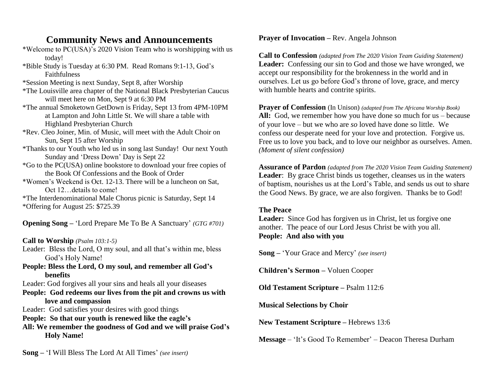## **Community News and Announcements**

- \*Welcome to PC(USA)'s 2020 Vision Team who is worshipping with us today!
- \*Bible Study is Tuesday at 6:30 PM. Read Romans 9:1-13, God's Faithfulness
- \*Session Meeting is next Sunday, Sept 8, after Worship
- \*The Louisville area chapter of the National Black Presbyterian Caucus will meet here on Mon, Sept 9 at 6:30 PM
- \*The annual Smoketown GetDown is Friday, Sept 13 from 4PM-10PM at Lampton and John Little St. We will share a table with Highland Presbyterian Church
- \*Rev. Cleo Joiner, Min. of Music, will meet with the Adult Choir on Sun, Sept 15 after Worship
- \*Thanks to our Youth who led us in song last Sunday! Our next Youth Sunday and 'Dress Down' Day is Sept 22
- \*Go to the PC(USA) online bookstore to download your free copies of the Book Of Confessions and the Book of Order
- \*Women's Weekend is Oct. 12-13. There will be a luncheon on Sat, Oct 12…details to come!
- \*The Interdenominational Male Chorus picnic is Saturday, Sept 14 \*Offering for August 25: \$725.39

**Opening Song –** 'Lord Prepare Me To Be A Sanctuary' *(GTG #701)*

**Call to Worship** *(Psalm 103:1-5)*

- Leader: Bless the Lord, O my soul, and all that's within me, bless God's Holy Name!
- **People: Bless the Lord, O my soul, and remember all God's benefits**

Leader: God forgives all your sins and heals all your diseases

**People: God redeems our lives from the pit and crowns us with love and compassion**

Leader: God satisfies your desires with good things

- **People: So that our youth is renewed like the eagle's**
- **All: We remember the goodness of God and we will praise God's Holy Name!**

### **Prayer of Invocation –** Rev. Angela Johnson

**Call to Confession** *(adapted from The 2020 Vision Team Guiding Statement)* Leader: Confessing our sin to God and those we have wronged, we accept our responsibility for the brokenness in the world and in ourselves. Let us go before God's throne of love, grace, and mercy with humble hearts and contrite spirits.

**Prayer of Confession** (In Unison) *(adapted from The Africana Worship Book)* **All:** God, we remember how you have done so much for us – because of your love – but we who are *so* loved have done so little. We confess our desperate need for your love and protection. Forgive us. Free us to love you back, and to love our neighbor as ourselves. Amen. *(Moment of silent confession)*

**Assurance of Pardon** *(adapted from The 2020 Vision Team Guiding Statement)* **Leader**: By grace Christ binds us together, cleanses us in the waters of baptism, nourishes us at the Lord's Table, and sends us out to share the Good News. By grace, we are also forgiven. Thanks be to God!

### **The Peace**

Leader: Since God has forgiven us in Christ, let us forgive one another. The peace of our Lord Jesus Christ be with you all. **People: And also with you**

**Song –** 'Your Grace and Mercy' *(see insert)*

**Children's Sermon –** Voluen Cooper

**Old Testament Scripture –** Psalm 112:6

**Musical Selections by Choir**

**New Testament Scripture –** Hebrews 13:6

**Message** – 'It's Good To Remember' – Deacon Theresa Durham

**Song –** 'I Will Bless The Lord At All Times' *(see insert)*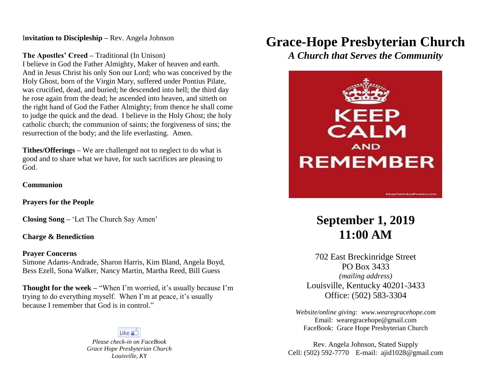I**nvitation to Discipleship –** Rev. Angela Johnson

**The Apostles' Creed –** Traditional (In Unison)

I believe in God the Father Almighty, Maker of heaven and earth. And in Jesus Christ his only Son our Lord; who was conceived by the Holy Ghost, born of the Virgin Mary, suffered under Pontius Pilate, was crucified, dead, and buried; he descended into hell; the third day he rose again from the dead; he ascended into heaven, and sitteth on the right hand of God the Father Almighty; from thence he shall come to judge the quick and the dead. I believe in the Holy Ghost; the holy catholic church; the communion of saints; the forgiveness of sins; the resurrection of the body; and the life everlasting. Amen.

**Tithes/Offerings –** We are challenged not to neglect to do what is good and to share what we have, for such sacrifices are pleasing to God.

#### **Communion**

**Prayers for the People**

**Closing Song –** 'Let The Church Say Amen'

**Charge & Benediction**

#### **Prayer Concerns**

Simone Adams-Andrade, Sharon Harris, Kim Bland, Angela Boyd, Bess Ezell, Sona Walker, Nancy Martin, Martha Reed, Bill Guess

**Thought for the week – "When I'm worried, it's usually because I'm** trying to do everything myself. When I'm at peace, it's usually because I remember that God is in control."

Like  $\triangle$ 

*Please check-in on FaceBook Grace Hope Presbyterian Church Louisville, KY*

# **Grace-Hope Presbyterian Church**

*A Church that Serves the Community*



## **September 1, 2019 11:00 AM**

702 East Breckinridge Street PO Box 3433 *(mailing address)* Louisville, Kentucky 40201-3433 Office: (502) 583-3304

*Website/online giving: [www.wearegracehope.com](http://www.wearegracehope.com/)* Email: [wearegracehope@gmail.com](mailto:wearegracehope@gmail.com) FaceBook: Grace Hope Presbyterian Church

Rev. Angela Johnson, Stated Supply Cell: (502) 592-7770 E-mail: [ajid1028@gmail.com](mailto:ajid1028@gmail.com)